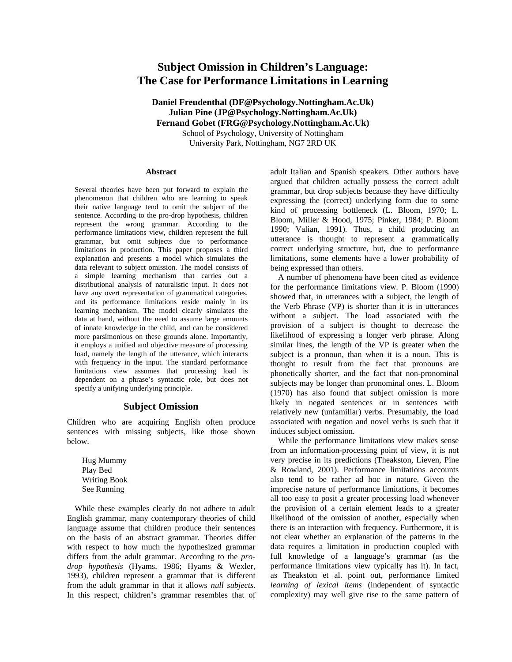# **Subject Omission in Children's Language: The Case for Performance Limitations in Learning**

**Daniel Freudenthal [\(DF@Psychology.Nottingham.Ac.Uk\)](mailto:DF@Psychology.Nottingham.Ac.Uk) Julian Pine [\(JP@Psychology.Nottingham.Ac.Uk\)](mailto:JP@Psychology.Nottingham.Ac.Uk) Fernand Gobet [\(FRG@Psychology.Nottingham.Ac.Uk\)](mailto:FRG@Psychology.Nottingham.Ac.Uk)**

> School of Psychology, University of Nottingham University Park, Nottingham, NG7 2RD UK

#### **Abstract**

Several theories have been put forward to explain the phenomenon that children who are learning to speak their native language tend to omit the subject of the sentence. According to the pro-drop hypothesis, children represent the wrong grammar. According to the performance limitations view, children represent the full grammar, but omit subjects due to performance limitations in production. This paper proposes a third explanation and presents a model which simulates the data relevant to subject omission. The model consists of a simple learning mechanism that carries out a distributional analysis of naturalistic input. It does not have any overt representation of grammatical categories, and its performance limitations reside mainly in its learning mechanism. The model clearly simulates the data at hand, without the need to assume large amounts of innate knowledge in the child, and can be considered more parsimonious on these grounds alone. Importantly, it employs a unified and objective measure of processing load, namely the length of the utterance, which interacts with frequency in the input. The standard performance limitations view assumes that processing load is dependent on a phrase's syntactic role, but does not specify a unifying underlying principle.

## **Subject Omission**

Children who are acquiring English often produce sentences with missing subjects, like those shown below.

Hug Mummy Play Bed Writing Book See Running

While these examples clearly do not adhere to adult English grammar, many contemporary theories of child language assume that children produce their sentences on the basis of an abstract grammar. Theories differ with respect to how much the hypothesized grammar differs from the adult grammar. According to the *prodrop hypothesis* (Hyams, 1986; Hyams & Wexler, 1993), children represent a grammar that is different from the adult grammar in that it allows *null subjects.* In this respect, children's grammar resembles that of adult Italian and Spanish speakers. Other authors have argued that children actually possess the correct adult grammar, but drop subjects because they have difficulty expressing the (correct) underlying form due to some kind of processing bottleneck (L. Bloom, 1970; L. Bloom, Miller & Hood, 1975; Pinker, 1984; P. Bloom 1990; Valian, 1991). Thus, a child producing an utterance is thought to represent a grammatically correct underlying structure, but, due to performance limitations, some elements have a lower probability of being expressed than others.

A number of phenomena have been cited as evidence for the performance limitations view. P. Bloom (1990) showed that, in utterances with a subject, the length of the Verb Phrase (VP) is shorter than it is in utterances without a subject. The load associated with the provision of a subject is thought to decrease the likelihood of expressing a longer verb phrase. Along similar lines, the length of the VP is greater when the subject is a pronoun, than when it is a noun. This is thought to result from the fact that pronouns are phonetically shorter, and the fact that non-pronominal subjects may be longer than pronominal ones. L. Bloom (1970) has also found that subject omission is more likely in negated sentences or in sentences with relatively new (unfamiliar) verbs. Presumably, the load associated with negation and novel verbs is such that it induces subject omission.

While the performance limitations view makes sense from an information-processing point of view, it is not very precise in its predictions (Theakston, Lieven, Pine & Rowland, 2001). Performance limitations accounts also tend to be rather ad hoc in nature. Given the imprecise nature of performance limitations, it becomes all too easy to posit a greater processing load whenever the provision of a certain element leads to a greater likelihood of the omission of another, especially when there is an interaction with frequency. Furthermore, it is not clear whether an explanation of the patterns in the data requires a limitation in production coupled with full knowledge of a language's grammar (as the performance limitations view typically has it). In fact, as Theakston et al. point out, performance limited *learning of lexical items* (independent of syntactic complexity) may well give rise to the same pattern of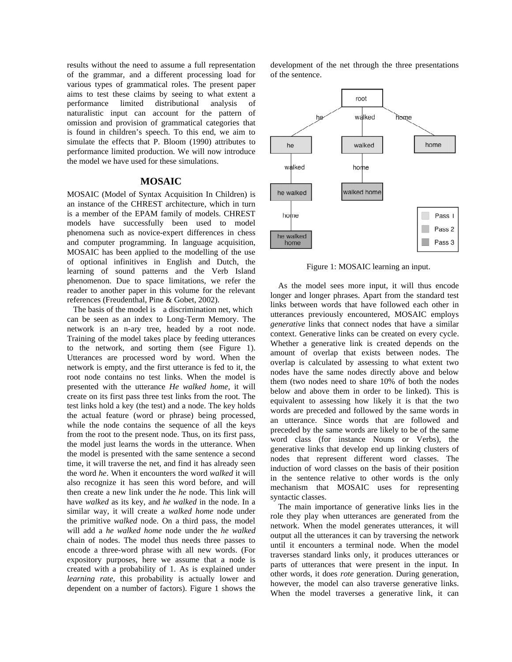results without the need to assume a full representation of the grammar, and a different processing load for various types of grammatical roles. The present paper aims to test these claims by seeing to what extent a performance limited distributional analysis of naturalistic input can account for the pattern of omission and provision of grammatical categories that is found in children's speech. To this end, we aim to simulate the effects that P. Bloom (1990) attributes to performance limited production. We will now introduce the model we have used for these simulations.

#### **MOSAIC**

MOSAIC (Model of Syntax Acquisition In Children) is an instance of the CHREST architecture, which in turn is a member of the EPAM family of models. CHREST models have successfully been used to model phenomena such as novice-expert differences in chess and computer programming. In language acquisition, MOSAIC has been applied to the modelling of the use of optional infinitives in English and Dutch, the learning of sound patterns and the Verb Island phenomenon. Due to space limitations, we refer the reader to another paper in this volume for the relevant references (Freudenthal, Pine & Gobet, 2002).

The basis of the model is a discrimination net, which can be seen as an index to Long-Term Memory. The network is an n-ary tree, headed by a root node. Training of the model takes place by feeding utterances to the network, and sorting them (see Figure 1). Utterances are processed word by word. When the network is empty, and the first utterance is fed to it, the root node contains no test links. When the model is presented with the utterance *He walked home*, it will create on its first pass three test links from the root. The test links hold a key (the test) and a node. The key holds the actual feature (word or phrase) being processed, while the node contains the sequence of all the keys from the root to the present node. Thus, on its first pass, the model just learns the words in the utterance. When the model is presented with the same sentence a second time, it will traverse the net, and find it has already seen the word *he*. When it encounters the word *walked* it will also recognize it has seen this word before, and will then create a new link under the *he* node. This link will have *walked* as its key, and *he walked* in the node. In a similar way, it will create a *walked home* node under the primitive *walked* node. On a third pass, the model will add a *he walked home* node under the *he walked* chain of nodes. The model thus needs three passes to encode a three-word phrase with all new words. (For expository purposes, here we assume that a node is created with a probability of 1. As is explained under *learning rate*, this probability is actually lower and dependent on a number of factors). Figure 1 shows the

development of the net through the three presentations of the sentence.



Figure 1: MOSAIC learning an input.

As the model sees more input, it will thus encode longer and longer phrases. Apart from the standard test links between words that have followed each other in utterances previously encountered, MOSAIC employs *generative* links that connect nodes that have a similar context. Generative links can be created on every cycle. Whether a generative link is created depends on the amount of overlap that exists between nodes. The overlap is calculated by assessing to what extent two nodes have the same nodes directly above and below them (two nodes need to share 10% of both the nodes below and above them in order to be linked). This is equivalent to assessing how likely it is that the two words are preceded and followed by the same words in an utterance. Since words that are followed and preceded by the same words are likely to be of the same word class (for instance Nouns or Verbs), the generative links that develop end up linking clusters of nodes that represent different word classes. The induction of word classes on the basis of their position in the sentence relative to other words is the only mechanism that MOSAIC uses for representing syntactic classes.

The main importance of generative links lies in the role they play when utterances are generated from the network. When the model generates utterances, it will output all the utterances it can by traversing the network until it encounters a terminal node. When the model traverses standard links only, it produces utterances or parts of utterances that were present in the input. In other words, it does *rote* generation. During generation, however, the model can also traverse generative links. When the model traverses a generative link, it can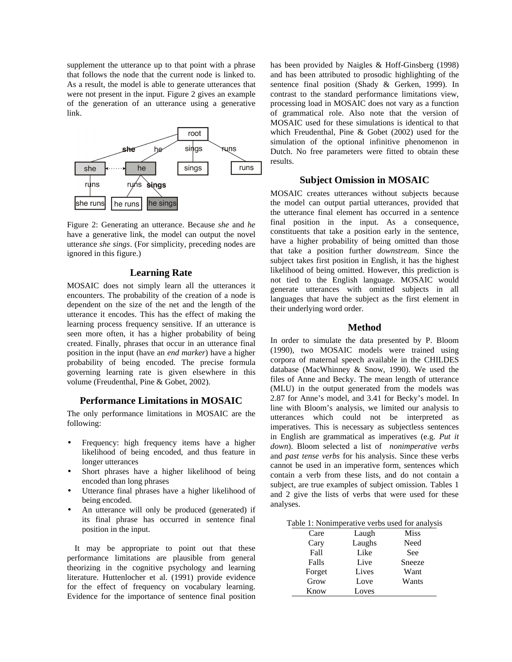supplement the utterance up to that point with a phrase that follows the node that the current node is linked to. As a result, the model is able to generate utterances that were not present in the input. Figure 2 gives an example of the generation of an utterance using a generative link.



Figure 2: Generating an utterance. Because *she* and *he* have a generative link, the model can output the novel utterance *she sings*. (For simplicity, preceding nodes are ignored in this figure.)

#### **Learning Rate**

MOSAIC does not simply learn all the utterances it encounters. The probability of the creation of a node is dependent on the size of the net and the length of the utterance it encodes. This has the effect of making the learning process frequency sensitive. If an utterance is seen more often, it has a higher probability of being created. Finally, phrases that occur in an utterance final position in the input (have an *end marker*) have a higher probability of being encoded. The precise formula governing learning rate is given elsewhere in this volume (Freudenthal, Pine & Gobet, 2002).

# **Performance Limitations in MOSAIC**

The only performance limitations in MOSAIC are the following:

- Frequency: high frequency items have a higher likelihood of being encoded, and thus feature in longer utterances
- Short phrases have a higher likelihood of being encoded than long phrases
- Utterance final phrases have a higher likelihood of being encoded.
- An utterance will only be produced (generated) if its final phrase has occurred in sentence final position in the input.

It may be appropriate to point out that these performance limitations are plausible from general theorizing in the cognitive psychology and learning literature. Huttenlocher et al. (1991) provide evidence for the effect of frequency on vocabulary learning. Evidence for the importance of sentence final position

has been provided by Naigles & Hoff-Ginsberg (1998) and has been attributed to prosodic highlighting of the sentence final position (Shady & Gerken, 1999). In contrast to the standard performance limitations view, processing load in MOSAIC does not vary as a function of grammatical role. Also note that the version of MOSAIC used for these simulations is identical to that which Freudenthal, Pine & Gobet (2002) used for the simulation of the optional infinitive phenomenon in Dutch. No free parameters were fitted to obtain these results.

# **Subject Omission in MOSAIC**

MOSAIC creates utterances without subjects because the model can output partial utterances, provided that the utterance final element has occurred in a sentence final position in the input. As a consequence, constituents that take a position early in the sentence, have a higher probability of being omitted than those that take a position further *downstream*. Since the subject takes first position in English, it has the highest likelihood of being omitted. However, this prediction is not tied to the English language. MOSAIC would generate utterances with omitted subjects in all languages that have the subject as the first element in their underlying word order.

#### **Method**

In order to simulate the data presented by P. Bloom (1990), two MOSAIC models were trained using corpora of maternal speech available in the CHILDES database (MacWhinney & Snow, 1990). We used the files of Anne and Becky. The mean length of utterance (MLU) in the output generated from the models was 2.87 for Anne's model, and 3.41 for Becky's model. In line with Bloom's analysis, we limited our analysis to utterances which could not be interpreted as imperatives. This is necessary as subjectless sentences in English are grammatical as imperatives (e.g. *Put it down*). Bloom selected a list of *nonimperative verbs* and *past tense verbs* for his analysis. Since these verbs cannot be used in an imperative form, sentences which contain a verb from these lists, and do not contain a subject, are true examples of subject omission. Tables 1 and 2 give the lists of verbs that were used for these analyses.

|  |  |  |  |  |  | Table 1: Nonimperative verbs used for analysis |
|--|--|--|--|--|--|------------------------------------------------|
|--|--|--|--|--|--|------------------------------------------------|

| Care   | Laugh  | Miss   |
|--------|--------|--------|
| Cary   | Laughs | Need   |
| Fall   | Like   | See    |
| Falls  | Live   | Sneeze |
| Forget | Lives  | Want   |
| Grow   | Love   | Wants  |
| Know   | Loves  |        |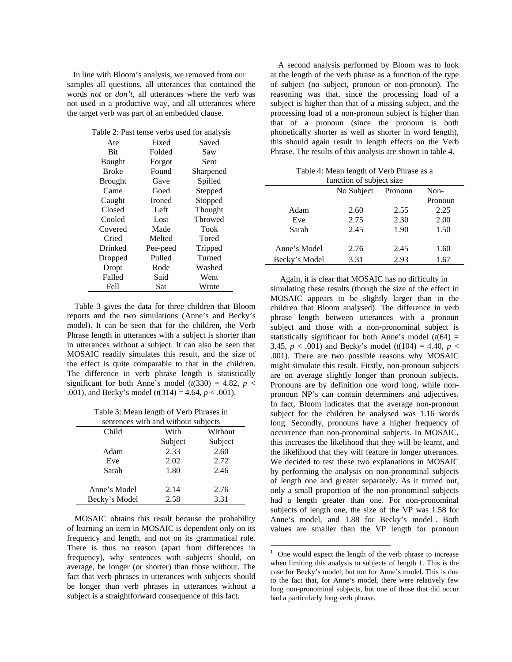In line with Bloom's analysis, we removed from our samples all questions, all utterances that contained the words *not* or *don't*, all utterances where the verb was not used in a productive way, and all utterances where the target verb was part of an embedded clause.

| Table 2: Past tense verbs used for analysis |          |           |  |
|---------------------------------------------|----------|-----------|--|
| Ate                                         | Fixed    | Saved     |  |
| <b>Bit</b>                                  | Folded   | Saw       |  |
| <b>Bought</b>                               | Forgot   | Sent      |  |
| Broke                                       | Found    | Sharpened |  |
| <b>Brought</b>                              | Gave     | Spilled   |  |
| Came                                        | Goed     | Stepped   |  |
| Caught                                      | Ironed   | Stopped   |  |
| Closed                                      | Left     | Thought   |  |
| Cooled                                      | Lost     | Throwed   |  |
| Covered                                     | Made     | Took      |  |
| Cried                                       | Melted   | Tored     |  |
| Drinked                                     | Pee-peed | Tripped   |  |
| Dropped                                     | Pulled   | Turned    |  |
| Dropt                                       | Rode     | Washed    |  |
| Falled                                      | Said     | Went      |  |
| Fell                                        | Sat      | Wrote     |  |

Table 3 gives the data for three children that Bloom reports and the two simulations (Anne's and Becky's model). It can be seen that for the children, the Verb Phrase length in utterances with a subject is shorter than in utterances without a subject. It can also be seen that MOSAIC readily simulates this result, and the size of the effect is quite comparable to that in the children. The difference in verb phrase length is statistically significant for both Anne's model  $(t(330) = 4.82, p <$ .001), and Becky's model (*t*(314) = 4.64, *p* < .001).

Table 3: Mean length of Verb Phrases in

| sentences with and without subjects |         |         |  |
|-------------------------------------|---------|---------|--|
| Child                               | With    | Without |  |
|                                     | Subject | Subject |  |
| Adam                                | 2.33    | 2.60    |  |
| Eve                                 | 2.02    | 2.72    |  |
| Sarah                               | 1.80    | 2.46    |  |
|                                     |         |         |  |
| Anne's Model                        | 2.14    | 2.76    |  |
| Becky's Model                       | 2.58    | 3.31    |  |

MOSAIC obtains this result because the probability of learning an item in MOSAIC is dependent only on its frequency and length, and not on its grammatical role. There is thus no reason (apart from differences in frequency), why sentences with subjects should, on average, be longer (or shorter) than those without. The fact that verb phrases in utterances with subjects should be longer than verb phrases in utterances without a subject is a straightforward consequence of this fact.

A second analysis performed by Bloom was to look at the length of the verb phrase as a function of the type of subject (no subject, pronoun or non-pronoun). The reasoning was that, since the processing load of a subject is higher than that of a missing subject, and the processing load of a non-pronoun subject is higher than that of a pronoun (since the pronoun is both phonetically shorter as well as shorter in word length), this should again result in length effects on the Verb Phrase. The results of this analysis are shown in table 4.

Table 4: Mean length of Verb Phrase as a function of subject size

| <b>TUINTION OF SUPPORT SILV</b> |            |         |         |
|---------------------------------|------------|---------|---------|
|                                 | No Subject | Pronoun | Non-    |
|                                 |            |         | Pronoun |
| Adam                            | 2.60       | 2.55    | 2.25    |
| Eve                             | 2.75       | 2.30    | 2.00    |
| Sarah                           | 2.45       | 1.90    | 1.50    |
|                                 |            |         |         |
| Anne's Model                    | 2.76       | 2.45    | 1.60    |
| Becky's Model                   | 3.31       | 2.93    | 1.67    |
|                                 |            |         |         |

 Again, it is clear that MOSAIC has no difficulty in simulating these results (though the size of the effect in MOSAIC appears to be slightly larger than in the children that Bloom analysed). The difference in verb phrase length between utterances with a pronoun subject and those with a non-pronominal subject is statistically significant for both Anne's model  $(t(64) =$ 3.45,  $p < .001$ ) and Becky's model ( $t(104) = 4.40$ ,  $p <$ .001). There are two possible reasons why MOSAIC might simulate this result. Firstly, non-pronoun subjects are on average slightly longer than pronoun subjects. Pronouns are by definition one word long, while nonpronoun NP's can contain determiners and adjectives. In fact, Bloom indicates that the average non-pronoun subject for the children he analysed was 1.16 words long. Secondly, pronouns have a higher frequency of occurrence than non-pronominal subjects. In MOSAIC, this increases the likelihood that they will be learnt, and the likelihood that they will feature in longer utterances. We decided to test these two explanations in MOSAIC by performing the analysis on non-pronominal subjects of length one and greater separately. As it turned out, only a small proportion of the non-pronominal subjects had a length greater than one. For non-pronominal subjects of length one, the size of the VP was 1.58 for Anne's model, and 1.88 for Becky's model<sup>1</sup>. Both values are smaller than the VP length for pronoun

-

<sup>1</sup> One would expect the length of the verb phrase to increase when limiting this analysis to subjects of length 1. This is the case for Becky's model, but not for Anne's model. This is due to the fact that, for Anne's model, there were relatively few long non-pronominal subjects, but one of those that did occur had a particularly long verb phrase.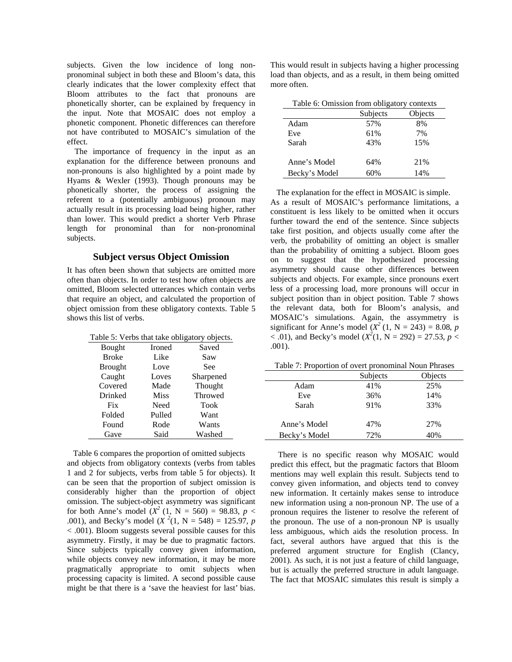subjects. Given the low incidence of long nonpronominal subject in both these and Bloom's data, this clearly indicates that the lower complexity effect that Bloom attributes to the fact that pronouns are phonetically shorter, can be explained by frequency in the input. Note that MOSAIC does not employ a phonetic component. Phonetic differences can therefore not have contributed to MOSAIC's simulation of the effect.

The importance of frequency in the input as an explanation for the difference between pronouns and non-pronouns is also highlighted by a point made by Hyams & Wexler (1993). Though pronouns may be phonetically shorter, the process of assigning the referent to a (potentially ambiguous) pronoun may actually result in its processing load being higher, rather than lower. This would predict a shorter Verb Phrase length for pronominal than for non-pronominal subjects.

# **Subject versus Object Omission**

It has often been shown that subjects are omitted more often than objects. In order to test how often objects are omitted, Bloom selected utterances which contain verbs that require an object, and calculated the proportion of object omission from these obligatory contexts. Table 5 shows this list of verbs.

| Table 5: Verbs that take obligatory objects. |               |           |  |
|----------------------------------------------|---------------|-----------|--|
| <b>Bought</b>                                | <b>Ironed</b> | Saved     |  |
| <b>Broke</b>                                 | Like          | Saw       |  |
| <b>Brought</b>                               | Love          | See       |  |
| Caught                                       | Loves         | Sharpened |  |
| Covered                                      | Made          | Thought   |  |
| Drinked                                      | <b>Miss</b>   | Throwed   |  |
| Fix                                          | Need          | Took      |  |
| Folded                                       | Pulled        | Want      |  |
| Found                                        | Rode          | Wants     |  |
| Gave                                         | Said          | Washed    |  |

 Table 6 compares the proportion of omitted subjects and objects from obligatory contexts (verbs from tables 1 and 2 for subjects, verbs from table 5 for objects). It can be seen that the proportion of subject omission is considerably higher than the proportion of object omission. The subject-object asymmetry was significant for both Anne's model  $(X^2 (1, N = 560) = 98.83, p <$ .001), and Becky's model  $(X^2(1, N = 548) = 125.97, p$ < .001). Bloom suggests several possible causes for this asymmetry. Firstly, it may be due to pragmatic factors. Since subjects typically convey given information, while objects convey new information, it may be more pragmatically appropriate to omit subjects when processing capacity is limited. A second possible cause might be that there is a 'save the heaviest for last' bias.

This would result in subjects having a higher processing load than objects, and as a result, in them being omitted more often.

| Table 6: Omission from obligatory contexts |          |         |  |
|--------------------------------------------|----------|---------|--|
|                                            | Subjects | Objects |  |
| Adam                                       | 57%      | 8%      |  |
| Eve                                        | 61%      | 7%      |  |
| Sarah                                      | 43%      | 15%     |  |
| Anne's Model                               | 64%      | 21%     |  |
| Becky's Model                              | 60%      | 14%     |  |

 The explanation for the effect in MOSAIC is simple. As a result of MOSAIC's performance limitations, a constituent is less likely to be omitted when it occurs further toward the end of the sentence. Since subjects take first position, and objects usually come after the verb, the probability of omitting an object is smaller than the probability of omitting a subject. Bloom goes on to suggest that the hypothesized processing asymmetry should cause other differences between subjects and objects. For example, since pronouns exert less of a processing load, more pronouns will occur in subject position than in object position. Table 7 shows the relevant data, both for Bloom's analysis, and MOSAIC's simulations. Again, the assymmetry is significant for Anne's model  $(X^2 (1, N = 243) = 8.08, p)$  $(1, 0, 0)$ , and Becky's model  $(X^2(1, N = 292) = 27.53, p < 0)$ .001).

| Table 7: Proportion of overt pronominal Noun Phrases |  |
|------------------------------------------------------|--|
|------------------------------------------------------|--|

|               | Subjects | Objects |
|---------------|----------|---------|
| Adam          | 41%      | 25%     |
| Eve           | 36%      | 14%     |
| Sarah         | 91%      | 33%     |
|               |          |         |
| Anne's Model  | 47%      | 27%     |
| Becky's Model | 72%      | 40%     |

There is no specific reason why MOSAIC would predict this effect, but the pragmatic factors that Bloom mentions may well explain this result. Subjects tend to convey given information, and objects tend to convey new information. It certainly makes sense to introduce new information using a non-pronoun NP. The use of a pronoun requires the listener to resolve the referent of the pronoun. The use of a non-pronoun NP is usually less ambiguous, which aids the resolution process. In fact, several authors have argued that this is the preferred argument structure for English (Clancy, 2001). As such, it is not just a feature of child language, but is actually the preferred structure in adult language. The fact that MOSAIC simulates this result is simply a